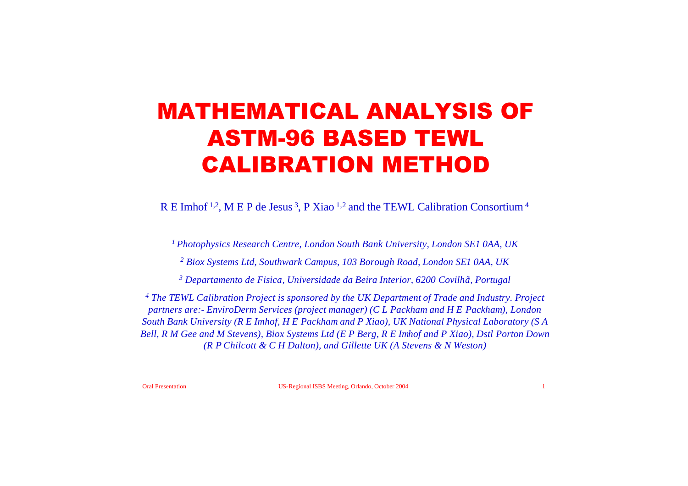# MATHEMATICAL ANALYSIS OF ASTM-96 BASED TEWL CALIBRATION METHOD

R E Imhof <sup>1,2</sup>, M E P de Jesus <sup>3</sup>, P Xiao <sup>1,2</sup> and the TEWL Calibration Consortium <sup>4</sup>

*<sup>1</sup>Photophysics Research Centre, London South Bank University, London SE1 0AA, UK*

*<sup>2</sup> Biox Systems Ltd, Southwark Campus, 103 Borough Road, London SE1 0AA, UK*

*<sup>3</sup> Departamento de Fisica, Universidade da Beira Interior, 6200 Covilhã, Portugal*

*<sup>4</sup> The TEWL Calibration Project is sponsored by the UK Department of Trade and Industry. Project partners are:- EnviroDerm Services (project manager) (C L Packham and H E Packham), London South Bank University (R E Imhof, H E Packham and P Xiao), UK National Physical Laboratory (S A Bell, R M Gee and M Stevens), Biox Systems Ltd (E P Berg, R E Imhof and P Xiao), Dstl Porton Down (R P Chilcott & C H Dalton), and Gillette UK (A Stevens & N Weston)*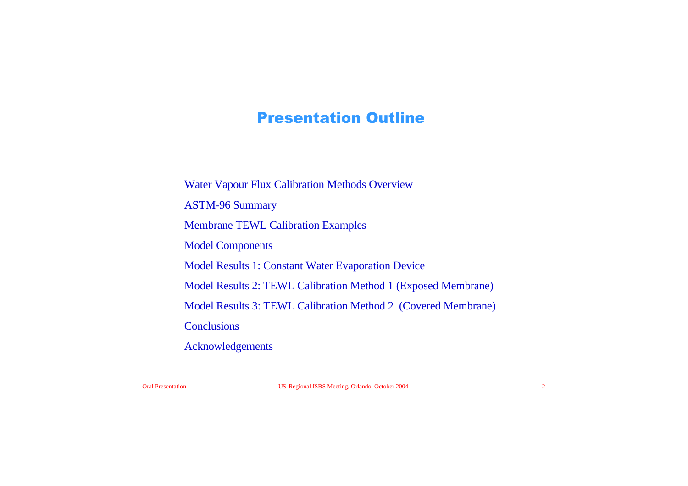# Presentation Outline

Water Vapour Flux Calibration Methods Overview ASTM-96 Summary Membrane TEWL Calibration Examples Model Components Model Results 1: Constant Water Evaporation Device Model Results 2: TEWL Calibration Method 1 (Exposed Membrane) Model Results 3: TEWL Calibration Method 2 (Covered Membrane) **Conclusions** Acknowledgements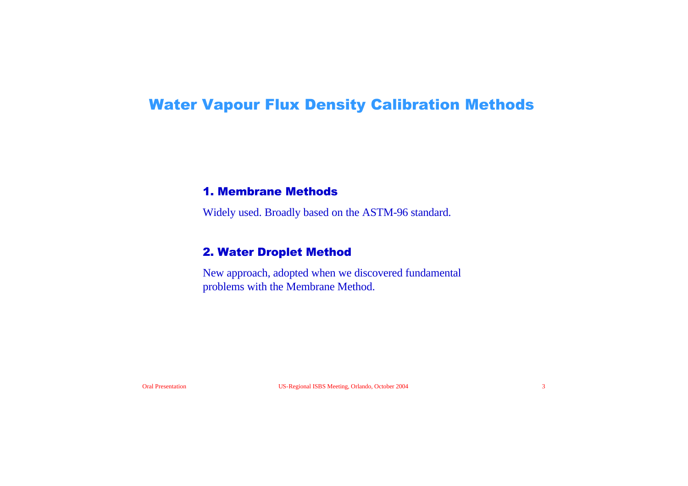# Water Vapour Flux Density Calibration Methods

#### 1. Membrane Methods

Widely used. Broadly based on the ASTM-96 standard.

#### 2. Water Droplet Method

New approach, adopted when we discovered fundamental problems with the Membrane Method.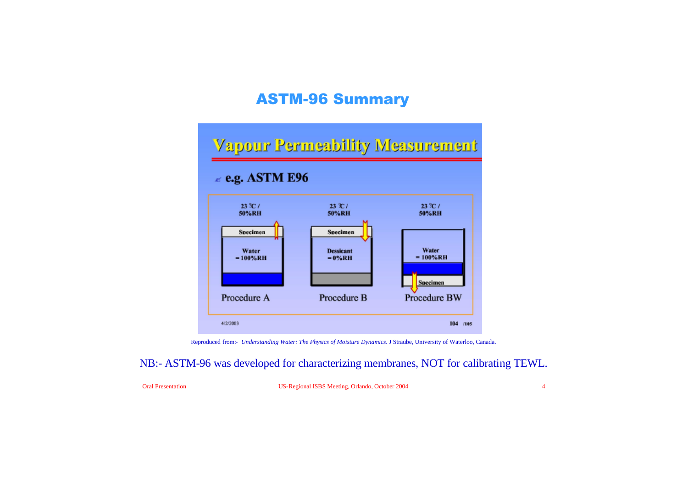# ASTM-96 Summary

# **Vapour Permeability Measurement**

#### $\le$  e.g. ASTM E96



Reproduced from:- *Understanding Water: The Physics of Moisture Dynamics*. J Straube, University of Waterloo, Canada.

NB:- ASTM-96 was developed for characterizing membranes, NOT for calibrating TEWL.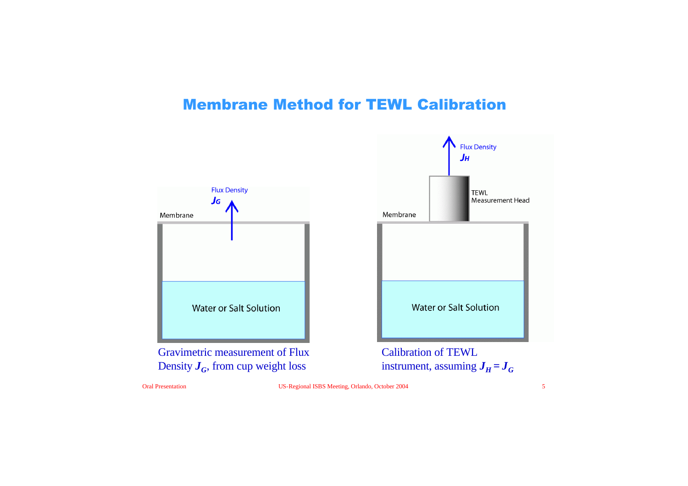# Membrane Method for TEWL Calibration





instrument, assuming  $J_H = J_G$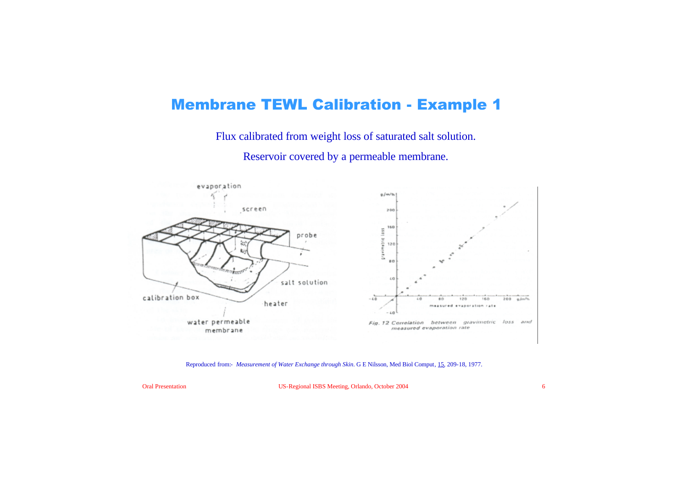# Membrane TEWL Calibration - Example 1

Flux calibrated from weight loss of saturated salt solution.

Reservoir covered by a permeable membrane.



#### Reproduced from:- *Measurement of Water Exchange through Skin*. G E Nilsson, Med Biol Comput, 15, 209-18, 1977.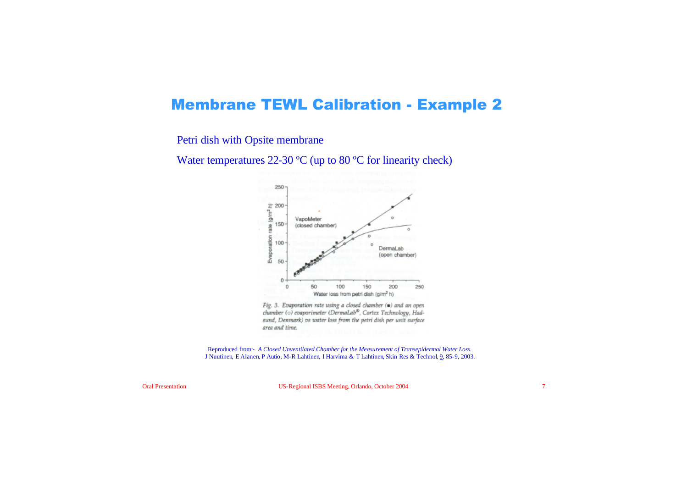#### Membrane TEWL Calibration - Example 2

Petri dish with Opsite membrane

Water temperatures 22-30 °C (up to 80 °C for linearity check)



Fig. 3. Evaporation rate using a closed chamber (.) and an open chamber (o) evaporimeter (DermaLab®, Cortex Technology, Hadsund, Denmark) vs water loss from the petri dish per unit surface area and time.

Reproduced from:- *A Closed Unventilated Chamber for the Measurement of Transepidermal Water Loss.* J Nuutinen, E Alanen, P Autio, M-R Lahtinen, I Harvima & T Lahtinen, Skin Res & Technol, 9, 85-9, 2003.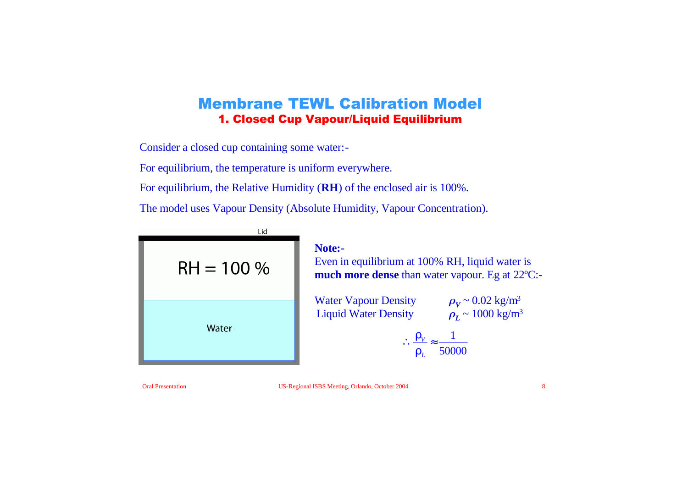### Membrane TEWL Calibration Model 1. Closed Cup Vapour/Liquid Equilibrium

Consider a closed cup containing some water:-

For equilibrium, the temperature is uniform everywhere.

For equilibrium, the Relative Humidity (**RH**) of the enclosed air is 100%.

The model uses Vapour Density (Absolute Humidity, Vapour Concentration).

| Lid<br>$RH = 100 %$ |
|---------------------|
| Water               |

#### **Note:-**

Even in equilibrium at 100% RH, liquid water is **much more dense** than water vapour. Eg at 22ºC:-

Water Vapour Density  $\rho_V \sim 0.02 \text{ kg/m}^3$ Liquid Water Density  $\rho_L \sim 1000 \text{ kg/m}^3$ 

$$
\therefore \frac{\mathbf{r}_V}{\mathbf{r}_L} \approx \frac{1}{50000}
$$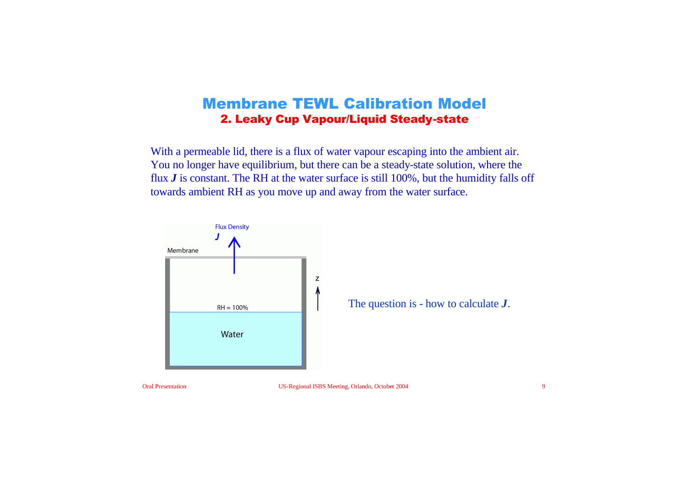#### Membrane TEWL Calibration Model 2. Leaky Cup Vapour/Liquid Steady-state

With a permeable lid, there is a flux of water vapour escaping into the ambient air. You no longer have equilibrium, but there can be a steady-state solution, where the flux *J* is constant. The RH at the water surface is still 100%, but the humidity falls off towards ambient RH as you move up and away from the water surface.

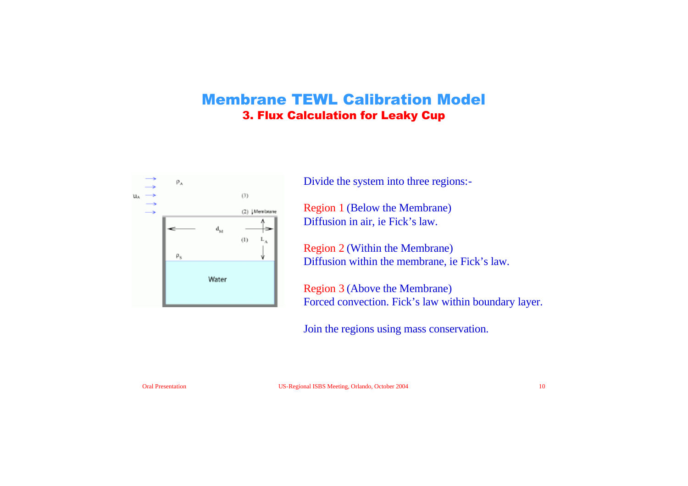### Membrane TEWL Calibration Model 3. Flux Calculation for Leaky Cup



Divide the system into three regions:-

Region 1 (Below the Membrane) Diffusion in air, ie Fick's law.

Region 2 (Within the Membrane) Diffusion within the membrane, ie Fick's law.

Region 3 (Above the Membrane) Forced convection. Fick's law within boundary layer.

Join the regions using mass conservation.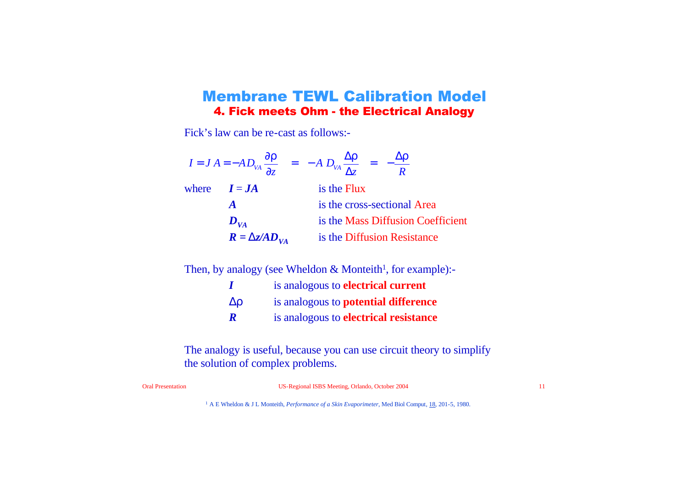#### Membrane TEWL Calibration Model 4. Fick meets Ohm - the Electrical Analogy

Fick's law can be re-cast as follows:-

|                           | $I = J A = -A D_{VA} \frac{\partial \mathbf{r}}{\partial z}$ = $-A D_{VA} \frac{\Delta \mathbf{r}}{\Delta z}$ = $-\frac{\Delta \mathbf{r}}{R}$ |  |
|---------------------------|------------------------------------------------------------------------------------------------------------------------------------------------|--|
| where $I = JA$            | is the Flux                                                                                                                                    |  |
| $\boldsymbol{A}$          | is the cross-sectional Area                                                                                                                    |  |
| $D_{VA}$                  | is the Mass Diffusion Coefficient                                                                                                              |  |
| $R = D_{Z} \times D_{VA}$ | is the Diffusion Resistance                                                                                                                    |  |

Then, by analogy (see Wheldon & Monteith<sup>1</sup>, for example):-

- *I* is analogous to **electrical current**
- *Dr* is analogous to **potential difference**
- *R* is analogous to **electrical resistance**

The analogy is useful, because you can use circuit theory to simplify the solution of complex problems.

Oral Presentation US-Regional ISBS Meeting, Orlando, October 2004 11

<sup>1</sup> A E Wheldon & J L Monteith, *Performance of a Skin Evaporimeter*, Med Biol Comput, 18, 201-5, 1980.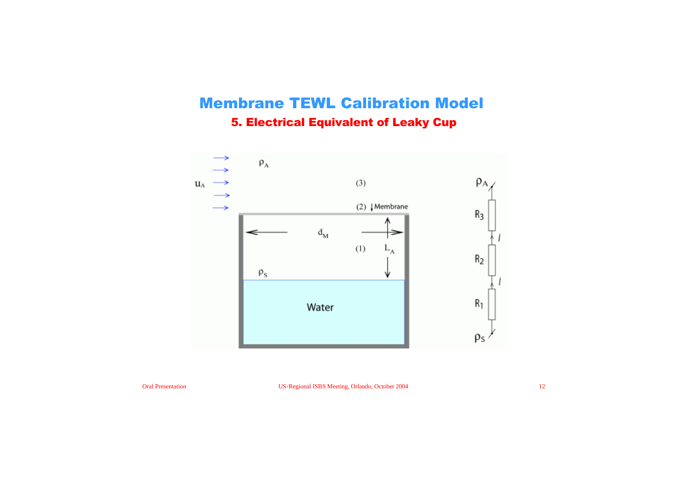# Membrane TEWL Calibration Model 5. Electrical Equivalent of Leaky Cup

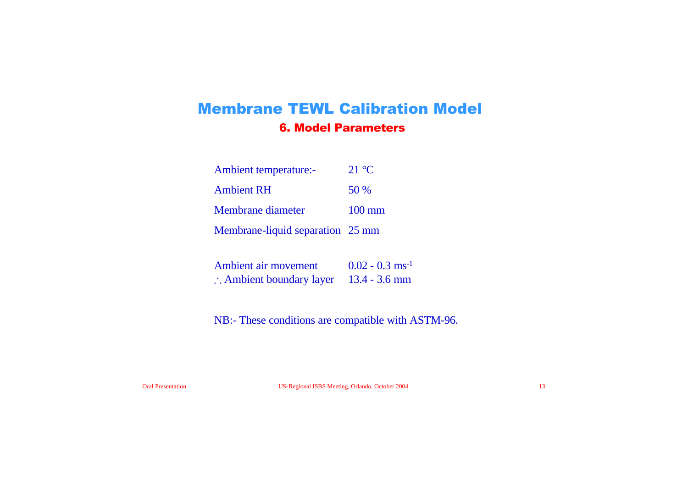# Membrane TEWL Calibration Model 6. Model Parameters

| Ambient temperature:-            | $21 \text{ °C}$  |
|----------------------------------|------------------|
| <b>Ambient RH</b>                | 50 %             |
| Membrane diameter                | $100 \text{ mm}$ |
| Membrane-liquid separation 25 mm |                  |

| Ambient air movement                              | $0.02 - 0.3$ ms <sup>-1</sup> |
|---------------------------------------------------|-------------------------------|
| $\therefore$ Ambient boundary layer 13.4 - 3.6 mm |                               |

NB:- These conditions are compatible with ASTM-96.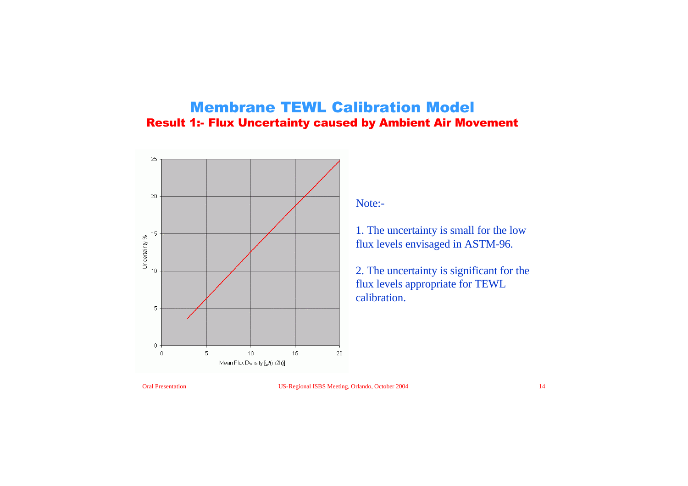### Membrane TEWL Calibration Model Result 1:- Flux Uncertainty caused by Ambient Air Movement



Note:-

1. The uncertainty is small for the low flux levels envisaged in ASTM-96.

2. The uncertainty is significant for the flux levels appropriate for TEWL calibration.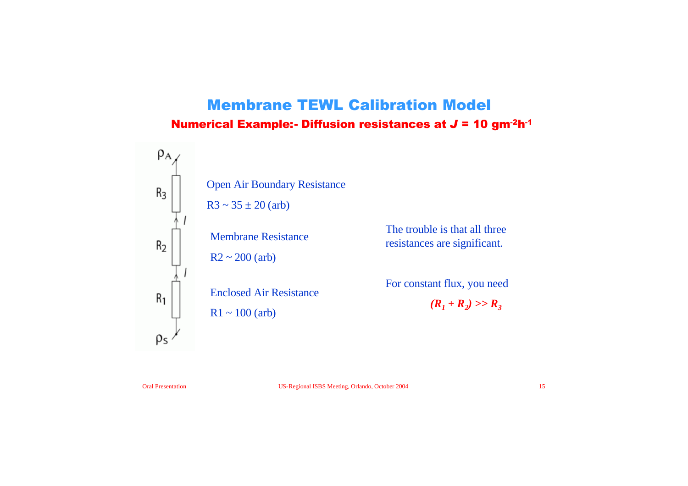# Membrane TEWL Calibration Model Numerical Example:- Diffusion resistances at *J* = 10 gm-2h-1



The trouble is that all three resistances are significant.

For constant flux, you need  $(R_1 + R_2) >> R_3$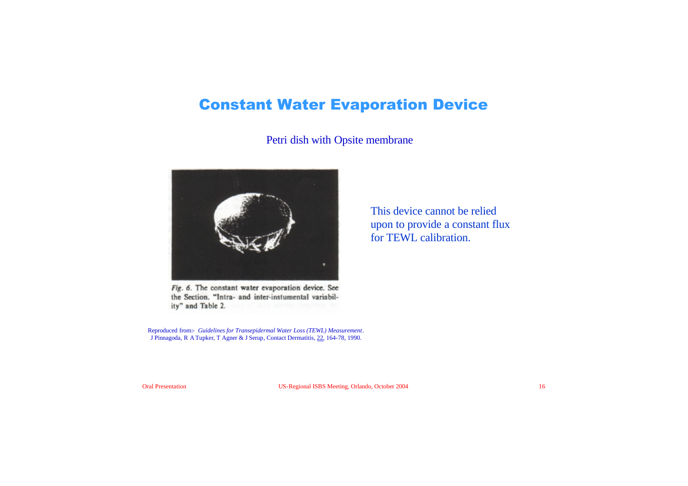# Constant Water Evaporation Device

#### Petri dish with Opsite membrane



Fig. 6. The constant water evaporation device. See the Section. "Intra- and inter-instumental variability" and Table 2.

Reproduced from:- *Guidelines for Transepidermal Water Loss (TEWL) Measurement*. J Pinnagoda, R ATupker, T Agner & J Serup, Contact Dermatitis, 22, 164-78, 1990.

This device cannot be relied upon to provide a constant flux for TEWL calibration.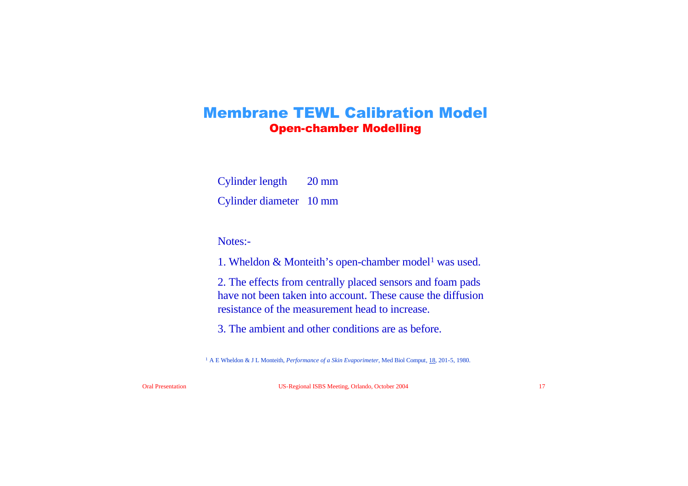#### Membrane TEWL Calibration Model Open-chamber Modelling

Cylinder length 20 mm

Cylinder diameter 10 mm

Notes:-

1. Wheldon  $&$  Monteith's open-chamber model<sup>1</sup> was used.

2. The effects from centrally placed sensors and foam pads have not been taken into account. These cause the diffusion resistance of the measurement head to increase.

3. The ambient and other conditions are as before.

<sup>1</sup> A E Wheldon & J L Monteith, *Performance of a Skin Evaporimeter*, Med Biol Comput, 18, 201-5, 1980.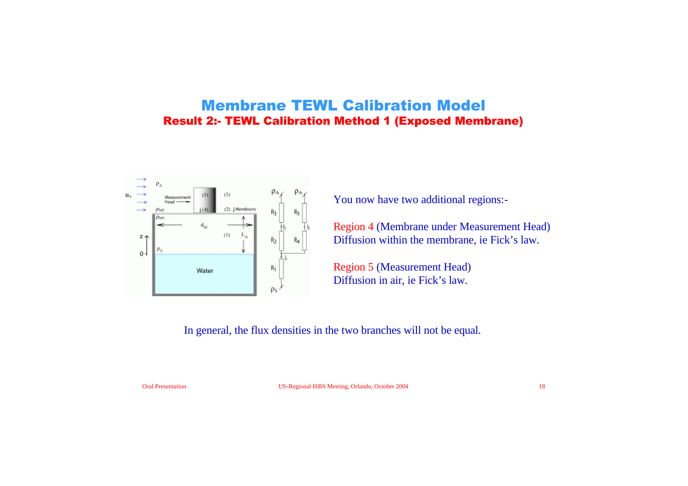#### Membrane TEWL Calibration Model Result 2:- TEWL Calibration Method 1 (Exposed Membrane)



You now have two additional regions:-

Region 4 (Membrane under Measurement Head) Diffusion within the membrane, ie Fick's law.

Region 5 (Measurement Head) Diffusion in air, ie Fick's law.

In general, the flux densities in the two branches will not be equal.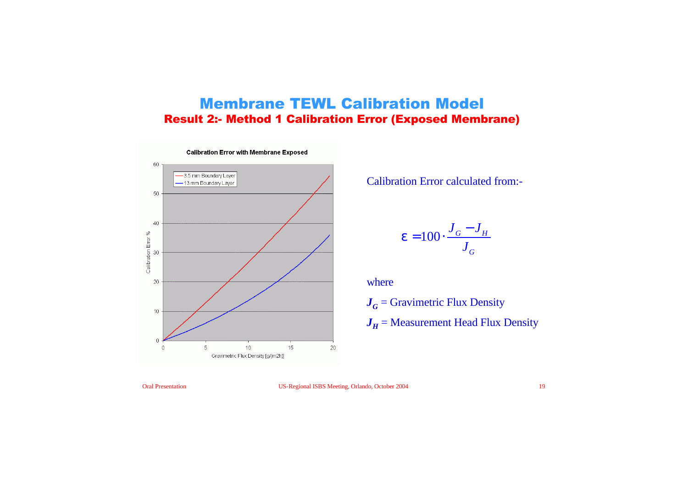#### Membrane TEWL Calibration Model Result 2:- Method 1 Calibration Error (Exposed Membrane)



Calibration Error calculated from:-

$$
\mathbf{e} = 100 \cdot \frac{J_G - J_H}{J_G}
$$

where

 $J<sub>G</sub>$  = Gravimetric Flux Density  $J_H$  = Measurement Head Flux Density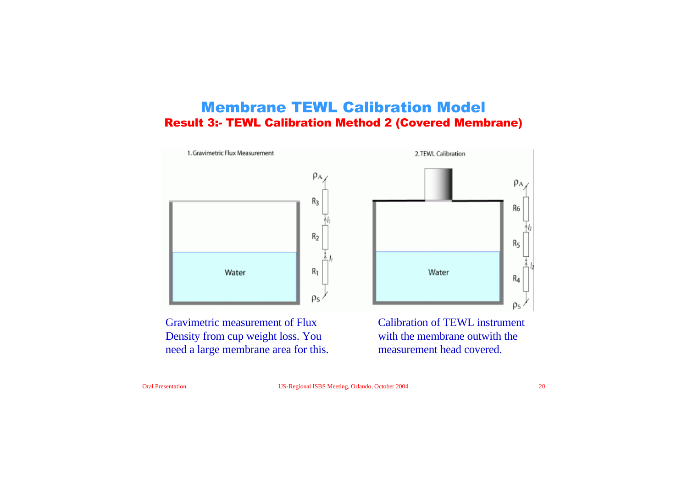#### Membrane TEWL Calibration Model Result 3:- TEWL Calibration Method 2 (Covered Membrane)



Gravimetric measurement of Flux Density from cup weight loss. You need a large membrane area for this. Calibration of TEWL instrument with the membrane outwith the measurement head covered.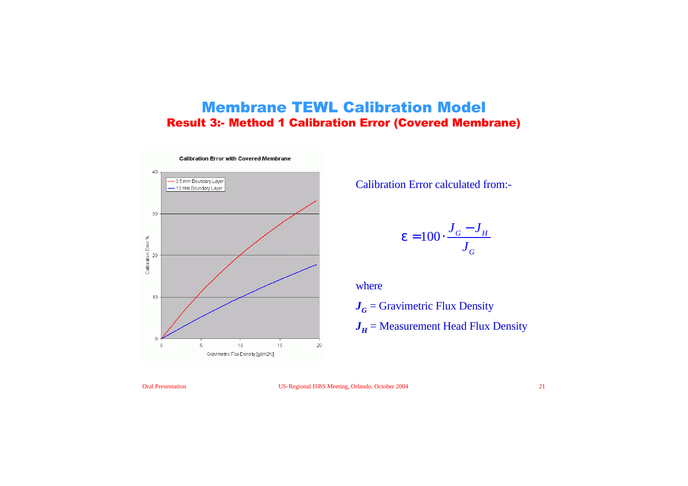### Membrane TEWL Calibration Model Result 3:- Method 1 Calibration Error (Covered Membrane)



Calibration Error calculated from:-

$$
\mathbf{e} = 100 \cdot \frac{J_G - J_H}{J_G}
$$

where

 $J<sub>G</sub>$  = Gravimetric Flux Density  $J_H$  = Measurement Head Flux Density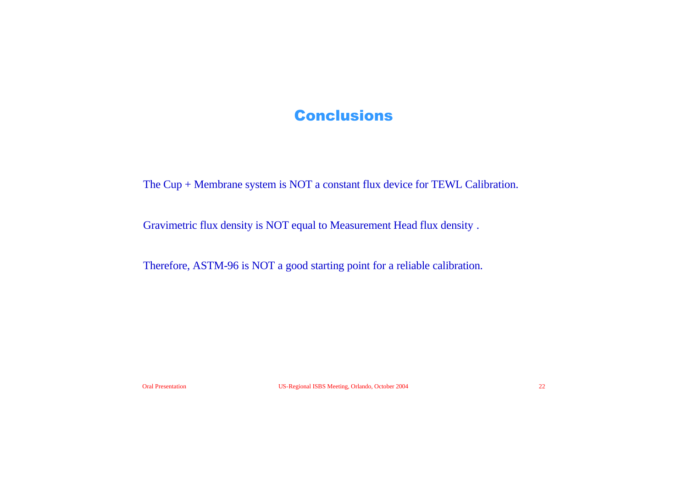# **Conclusions**

The Cup + Membrane system is NOT a constant flux device for TEWL Calibration.

Gravimetric flux density is NOT equal to Measurement Head flux density .

Therefore, ASTM-96 is NOT a good starting point for a reliable calibration.